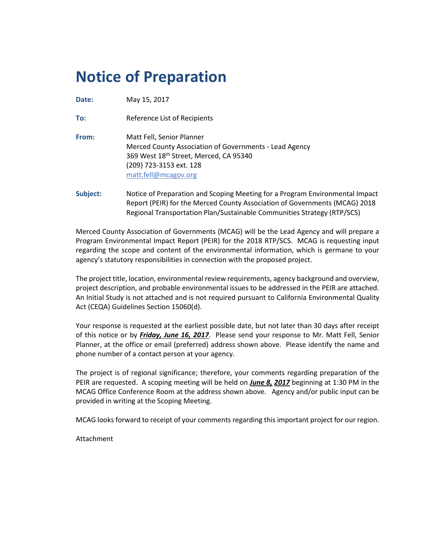# **Notice of Preparation**

**Date:** May 15, 2017

**To:** Reference List of Recipients

**From:** Matt Fell, Senior Planner Merced County Association of Governments - Lead Agency 369 West 18<sup>th</sup> Street, Merced, CA 95340 (209) 723-3153 ext. 128 [matt.fell@mcagov.org](mailto:matt.fell@mcagov.org)

**Subject:** Notice of Preparation and Scoping Meeting for a Program Environmental Impact Report (PEIR) for the Merced County Association of Governments (MCAG) 2018 Regional Transportation Plan/Sustainable Communities Strategy (RTP/SCS)

Merced County Association of Governments (MCAG) will be the Lead Agency and will prepare a Program Environmental Impact Report (PEIR) for the 2018 RTP/SCS. MCAG is requesting input regarding the scope and content of the environmental information, which is germane to your agency's statutory responsibilities in connection with the proposed project.

The project title, location, environmental review requirements, agency background and overview, project description, and probable environmental issues to be addressed in the PEIR are attached. An Initial Study is not attached and is not required pursuant to California Environmental Quality Act (CEQA) Guidelines Section 15060(d).

Your response is requested at the earliest possible date, but not later than 30 days after receipt of this notice or by *Friday, June 16, 2017*. Please send your response to Mr. Matt Fell, Senior Planner, at the office or email (preferred) address shown above. Please identify the name and phone number of a contact person at your agency.

The project is of regional significance; therefore, your comments regarding preparation of the PEIR are requested. A scoping meeting will be held on *June 8, 2017* beginning at 1:30 PM in the MCAG Office Conference Room at the address shown above. Agency and/or public input can be provided in writing at the Scoping Meeting.

MCAG looks forward to receipt of your comments regarding this important project for our region.

Attachment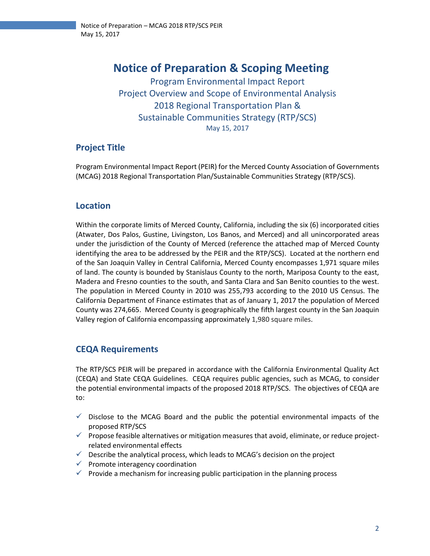## **Notice of Preparation & Scoping Meeting**

Program Environmental Impact Report Project Overview and Scope of Environmental Analysis 2018 Regional Transportation Plan & Sustainable Communities Strategy (RTP/SCS) May 15, 2017

## **Project Title**

Program Environmental Impact Report (PEIR) for the Merced County Association of Governments (MCAG) 2018 Regional Transportation Plan/Sustainable Communities Strategy (RTP/SCS).

## **Location**

Within the corporate limits of Merced County, California, including the six (6) incorporated cities (Atwater, Dos Palos, Gustine, Livingston, Los Banos, and Merced) and all unincorporated areas under the jurisdiction of the County of Merced (reference the attached map of Merced County identifying the area to be addressed by the PEIR and the RTP/SCS). Located at the northern end of the San Joaquin Valley in Central California, Merced County encompasses 1,971 square miles of land. The county is bounded by Stanislaus County to the north, Mariposa County to the east, Madera and Fresno counties to the south, and Santa Clara and San Benito counties to the west. The population in Merced County in 2010 was 255,793 according to the 2010 US Census. The California Department of Finance estimates that as of January 1, 2017 the population of Merced County was 274,665. Merced County is geographically the fifth largest county in the San Joaquin Valley region of California encompassing approximately 1,980 square miles.

## **CEQA Requirements**

The RTP/SCS PEIR will be prepared in accordance with the California Environmental Quality Act (CEQA) and State CEQA Guidelines. CEQA requires public agencies, such as MCAG, to consider the potential environmental impacts of the proposed 2018 RTP/SCS. The objectives of CEQA are to:

- $\checkmark$  Disclose to the MCAG Board and the public the potential environmental impacts of the proposed RTP/SCS
- ✓ Propose feasible alternatives or mitigation measures that avoid, eliminate, or reduce projectrelated environmental effects
- $\checkmark$  Describe the analytical process, which leads to MCAG's decision on the project
- $\checkmark$  Promote interagency coordination
- $\checkmark$  Provide a mechanism for increasing public participation in the planning process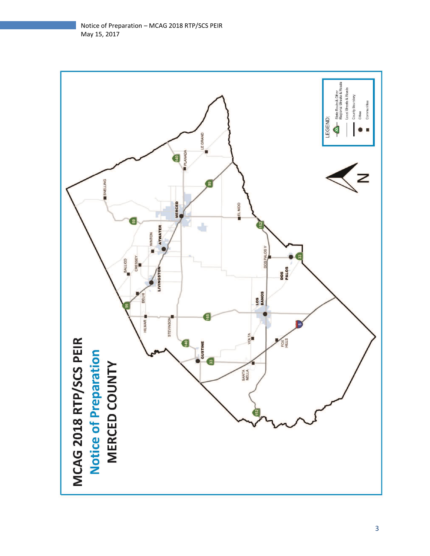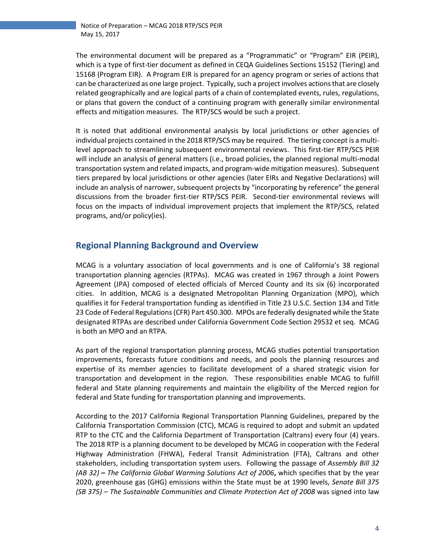The environmental document will be prepared as a "Programmatic" or "Program" EIR (PEIR), which is a type of first-tier document as defined in CEQA Guidelines Sections 15152 (Tiering) and 15168 (Program EIR). A Program EIR is prepared for an agency program or series of actions that can be characterized as one large project. Typically, such a project involves actions that are closely related geographically and are logical parts of a chain of contemplated events, rules, regulations, or plans that govern the conduct of a continuing program with generally similar environmental effects and mitigation measures. The RTP/SCS would be such a project.

It is noted that additional environmental analysis by local jurisdictions or other agencies of individual projects contained in the 2018 RTP/SCS may be required. The tiering concept is a multilevel approach to streamlining subsequent environmental reviews. This first-tier RTP/SCS PEIR will include an analysis of general matters (i.e., broad policies, the planned regional multi-modal transportation system and related impacts, and program-wide mitigation measures). Subsequent tiers prepared by local jurisdictions or other agencies (later EIRs and Negative Declarations) will include an analysis of narrower, subsequent projects by "incorporating by reference" the general discussions from the broader first-tier RTP/SCS PEIR. Second-tier environmental reviews will focus on the impacts of individual improvement projects that implement the RTP/SCS, related programs, and/or policy(ies).

## **Regional Planning Background and Overview**

MCAG is a voluntary association of local governments and is one of California's 38 regional transportation planning agencies (RTPAs). MCAG was created in 1967 through a Joint Powers Agreement (JPA) composed of elected officials of Merced County and its six (6) incorporated cities. In addition, MCAG is a designated Metropolitan Planning Organization (MPO), which qualifies it for Federal transportation funding as identified in Title 23 U.S.C. Section 134 and Title 23 Code of Federal Regulations (CFR) Part 450.300. MPOs are federally designated while the State designated RTPAs are described under California Government Code Section 29532 et seq. MCAG is both an MPO and an RTPA.

As part of the regional transportation planning process, MCAG studies potential transportation improvements, forecasts future conditions and needs, and pools the planning resources and expertise of its member agencies to facilitate development of a shared strategic vision for transportation and development in the region. These responsibilities enable MCAG to fulfill federal and State planning requirements and maintain the eligibility of the Merced region for federal and State funding for transportation planning and improvements.

According to the 2017 California Regional Transportation Planning Guidelines, prepared by the California Transportation Commission (CTC), MCAG is required to adopt and submit an updated RTP to the CTC and the California Department of Transportation (Caltrans) every four (4) years. The 2018 RTP is a planning document to be developed by MCAG in cooperation with the Federal Highway Administration (FHWA), Federal Transit Administration (FTA), Caltrans and other stakeholders, including transportation system users. Following the passage of *Assembly Bill 32 (AB 32)* **–** *The California Global Warming Solutions Act of 2006***,** which specifies that by the year 2020, greenhouse gas (GHG) emissions within the State must be at 1990 levels, *Senate Bill 375 (SB 375) – The Sustainable Communities and Climate Protection Act of 2008* was signed into law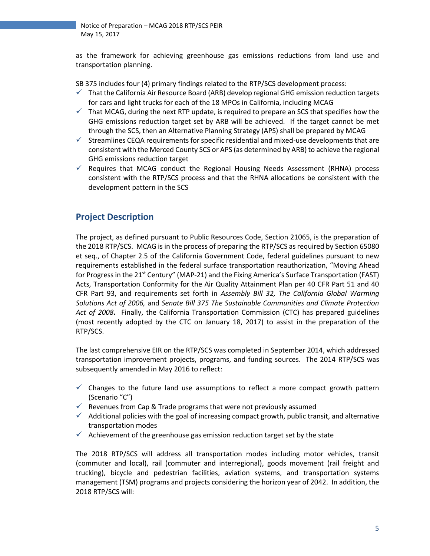as the framework for achieving greenhouse gas emissions reductions from land use and transportation planning.

SB 375 includes four (4) primary findings related to the RTP/SCS development process:

- $\checkmark$  That the California Air Resource Board (ARB) develop regional GHG emission reduction targets for cars and light trucks for each of the 18 MPOs in California, including MCAG
- $\checkmark$  That MCAG, during the next RTP update, is required to prepare an SCS that specifies how the GHG emissions reduction target set by ARB will be achieved. If the target cannot be met through the SCS, then an Alternative Planning Strategy (APS) shall be prepared by MCAG
- $\checkmark$  Streamlines CEQA requirements for specific residential and mixed-use developments that are consistent with the Merced County SCS or APS (as determined by ARB) to achieve the regional GHG emissions reduction target
- $\checkmark$  Requires that MCAG conduct the Regional Housing Needs Assessment (RHNA) process consistent with the RTP/SCS process and that the RHNA allocations be consistent with the development pattern in the SCS

## **Project Description**

The project, as defined pursuant to Public Resources Code, Section 21065, is the preparation of the 2018 RTP/SCS. MCAG is in the process of preparing the RTP/SCS as required by Section 65080 et seq., of Chapter 2.5 of the California Government Code, federal guidelines pursuant to new requirements established in the federal surface transportation reauthorization, "Moving Ahead for Progress in the 21<sup>st</sup> Century" (MAP-21) and the Fixing America's Surface Transportation (FAST) Acts, Transportation Conformity for the Air Quality Attainment Plan per 40 CFR Part 51 and 40 CFR Part 93, and requirements set forth in *Assembly Bill 32, The California Global Warming Solutions Act of 2006,* and *Senate Bill 375 The Sustainable Communities and Climate Protection Act of 2008***.** Finally, the California Transportation Commission (CTC) has prepared guidelines (most recently adopted by the CTC on January 18, 2017) to assist in the preparation of the RTP/SCS.

The last comprehensive EIR on the RTP/SCS was completed in September 2014, which addressed transportation improvement projects, programs, and funding sources. The 2014 RTP/SCS was subsequently amended in May 2016 to reflect:

- $\checkmark$  Changes to the future land use assumptions to reflect a more compact growth pattern (Scenario "C")
- $\checkmark$  Revenues from Cap & Trade programs that were not previously assumed
- $\checkmark$  Additional policies with the goal of increasing compact growth, public transit, and alternative transportation modes
- $\checkmark$  Achievement of the greenhouse gas emission reduction target set by the state

The 2018 RTP/SCS will address all transportation modes including motor vehicles, transit (commuter and local), rail (commuter and interregional), goods movement (rail freight and trucking), bicycle and pedestrian facilities, aviation systems, and transportation systems management (TSM) programs and projects considering the horizon year of 2042. In addition, the 2018 RTP/SCS will: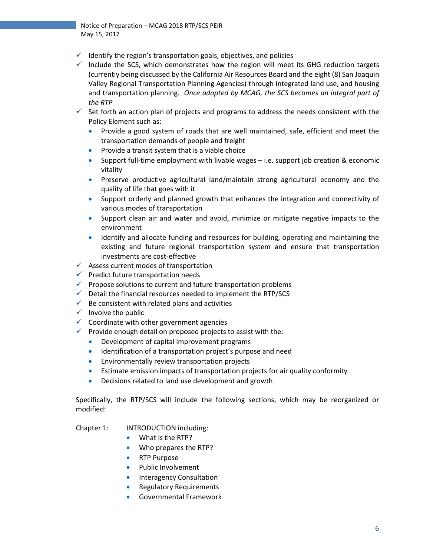- $\checkmark$  Identify the region's transportation goals, objectives, and policies
- $\checkmark$  Include the SCS, which demonstrates how the region will meet its GHG reduction targets (currently being discussed by the California Air Resources Board and the eight (8) San Joaquin Valley Regional Transportation Planning Agencies) through integrated land use, and housing and transportation planning. *Once adopted by MCAG, the SCS becomes an integral part of the RTP*
- $\checkmark$  Set forth an action plan of projects and programs to address the needs consistent with the Policy Element such as:
	- Provide a good system of roads that are well maintained, safe, efficient and meet the transportation demands of people and freight
	- Provide a transit system that is a viable choice
	- Support full-time employment with livable wages i.e. support job creation & economic vitality
	- Preserve productive agricultural land/maintain strong agricultural economy and the quality of life that goes with it
	- Support orderly and planned growth that enhances the integration and connectivity of various modes of transportation
	- Support clean air and water and avoid, minimize or mitigate negative impacts to the environment
	- Identify and allocate funding and resources for building, operating and maintaining the existing and future regional transportation system and ensure that transportation investments are cost-effective
- $\checkmark$  Assess current modes of transportation
- ✓ Predict future transportation needs
- $\checkmark$  Propose solutions to current and future transportation problems
- $\checkmark$  Detail the financial resources needed to implement the RTP/SCS
- $\checkmark$  Be consistent with related plans and activities
- $\checkmark$  Involve the public
- $\checkmark$  Coordinate with other government agencies
- $\checkmark$  Provide enough detail on proposed projects to assist with the:
	- Development of capital improvement programs
	- Identification of a transportation project's purpose and need
	- Environmentally review transportation projects
	- Estimate emission impacts of transportation projects for air quality conformity
	- Decisions related to land use development and growth

Specifically, the RTP/SCS will include the following sections, which may be reorganized or modified:

#### Chapter 1: INTRODUCTION including:

- What is the RTP?
- Who prepares the RTP?
- RTP Purpose
- Public Involvement
- Interagency Consultation
- Regulatory Requirements
- Governmental Framework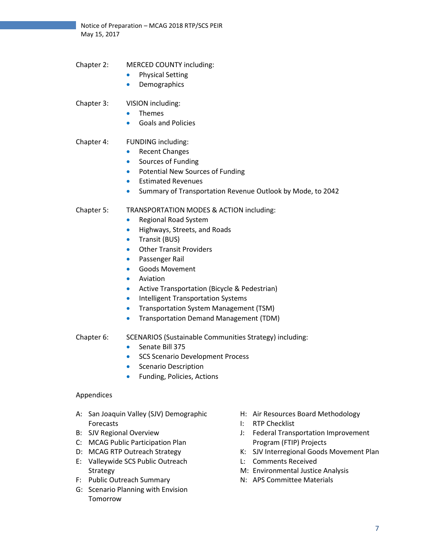Notice of Preparation – MCAG 2018 RTP/SCS PEIR May 15, 2017

- Chapter 2: MERCED COUNTY including:
	- Physical Setting
	- **Demographics**

#### Chapter 3: VISION including:

- Themes
- Goals and Policies

#### Chapter 4: FUNDING including:

- Recent Changes
- Sources of Funding
- Potential New Sources of Funding
- Estimated Revenues
- Summary of Transportation Revenue Outlook by Mode, to 2042

#### Chapter 5: TRANSPORTATION MODES & ACTION including:

- Regional Road System
- Highways, Streets, and Roads
- Transit (BUS)
- **Other Transit Providers**
- Passenger Rail
- Goods Movement
- Aviation
- Active Transportation (Bicycle & Pedestrian)
- Intelligent Transportation Systems
- Transportation System Management (TSM)
- Transportation Demand Management (TDM)

#### Chapter 6: SCENARIOS (Sustainable Communities Strategy) including:

- Senate Bill 375
- SCS Scenario Development Process
- Scenario Description
- Funding, Policies, Actions

#### Appendices

- A: San Joaquin Valley (SJV) Demographic Forecasts
- B: SJV Regional Overview
- C: MCAG Public Participation Plan
- D: MCAG RTP Outreach Strategy
- E: Valleywide SCS Public Outreach Strategy
- F: Public Outreach Summary
- G: Scenario Planning with Envision Tomorrow
- H: Air Resources Board Methodology
- I: RTP Checklist
- J: Federal Transportation Improvement Program (FTIP) Projects
- K: SJV Interregional Goods Movement Plan
- L: Comments Received
- M: Environmental Justice Analysis
- N: APS Committee Materials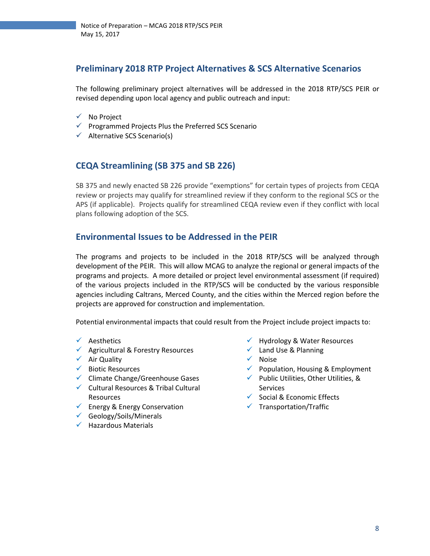## **Preliminary 2018 RTP Project Alternatives & SCS Alternative Scenarios**

The following preliminary project alternatives will be addressed in the 2018 RTP/SCS PEIR or revised depending upon local agency and public outreach and input:

- ✓ No Project
- ✓ Programmed Projects Plus the Preferred SCS Scenario
- $\checkmark$  Alternative SCS Scenario(s)

## **CEQA Streamlining (SB 375 and SB 226)**

SB 375 and newly enacted SB 226 provide "exemptions" for certain types of projects from CEQA review or projects may qualify for streamlined review if they conform to the regional SCS or the APS (if applicable). Projects qualify for streamlined CEQA review even if they conflict with local plans following adoption of the SCS.

## **Environmental Issues to be Addressed in the PEIR**

The programs and projects to be included in the 2018 RTP/SCS will be analyzed through development of the PEIR. This will allow MCAG to analyze the regional or general impacts of the programs and projects. A more detailed or project level environmental assessment (if required) of the various projects included in the RTP/SCS will be conducted by the various responsible agencies including Caltrans, Merced County, and the cities within the Merced region before the projects are approved for construction and implementation.

Potential environmental impacts that could result from the Project include project impacts to:

- ✓ Aesthetics
- ✓ Agricultural & Forestry Resources
- ✓ Air Quality
- ✓ Biotic Resources
- ✓ Climate Change/Greenhouse Gases
- ✓ Cultural Resources & Tribal Cultural Resources
- $\checkmark$  Energy & Energy Conservation
- ✓ Geology/Soils/Minerals
- ✓ Hazardous Materials
- ✓ Hydrology & Water Resources
- $\checkmark$  Land Use & Planning
- ✓ Noise
- ✓ Population, Housing & Employment
- ✓ Public Utilities, Other Utilities, & Services
- ✓ Social & Economic Effects
- ✓ Transportation/Traffic